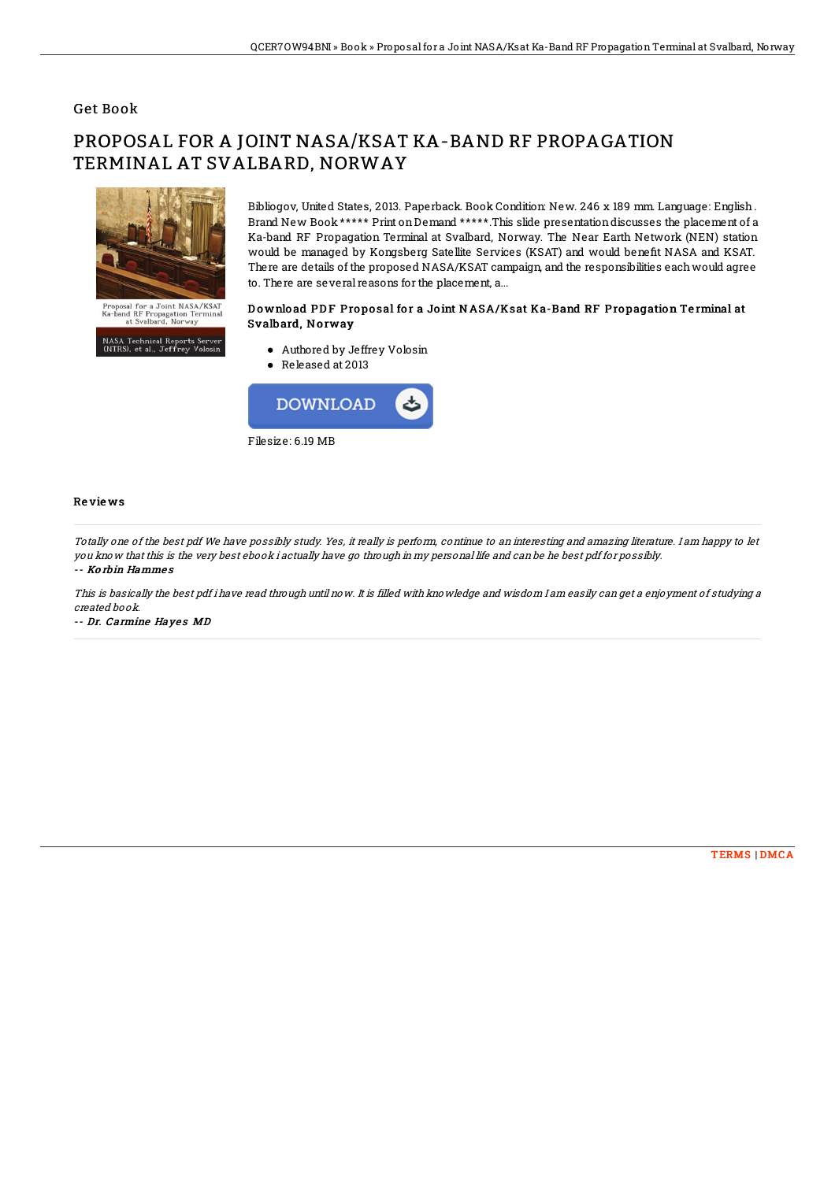### Get Book

# PROPOSAL FOR A JOINT NASA/KSAT KA-BAND RF PROPAGATION TERMINAL AT SVALBARD, NORWAY



Bibliogov, United States, 2013. Paperback. Book Condition: New. 246 x 189 mm. Language: English . Brand New Book \*\*\*\*\* Print onDemand \*\*\*\*\*.This slide presentationdiscusses the placement of a Ka-band RF Propagation Terminal at Svalbard, Norway. The Near Earth Network (NEN) station would be managed by Kongsberg Satellite Services (KSAT) and would benefit NASA and KSAT. There are details of the proposed NASA/KSAT campaign, and the responsibilities eachwould agree to. There are several reasons for the placement, a...

#### Download PDF Proposal for a Joint NASA/Ksat Ka-Band RF Propagation Terminal at Svalbard, Norway

.<br>NASA Technical Reports Server<br>(NTRS), et al., Jeffrey Volosin

Authored by Jeffrey Volosin

Released at 2013



#### Re vie ws

Totally one of the best pdf We have possibly study. Yes, it really is perform, continue to an interesting and amazing literature. I am happy to let you know that this is the very best ebook i actually have go through in my personal life and can be he best pdf for possibly. -- Ko rbin Hamme s

This is basically the best pdf i have read through until now. It is filled with knowledge and wisdom I am easily can get <sup>a</sup> enjoyment of studying <sup>a</sup> created book.

-- Dr. Carmine Hayes MD